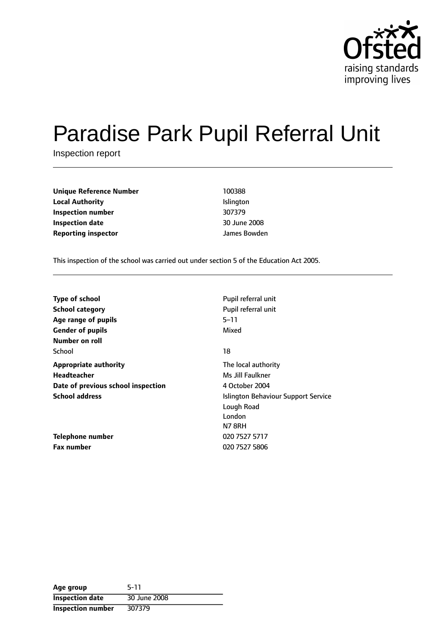

# Paradise Park Pupil Referral Unit

Inspection report

| <b>Unique Reference Number</b> | 100388       |
|--------------------------------|--------------|
| <b>Local Authority</b>         | Islington    |
| Inspection number              | 307379       |
| <b>Inspection date</b>         | 30 June 2008 |
| <b>Reporting inspector</b>     | James Bowden |

This inspection of the school was carried out under section 5 of the Education Act 2005.

| <b>Type of school</b>              | Pupil referral unit                 |
|------------------------------------|-------------------------------------|
| <b>School category</b>             | Pupil referral unit                 |
| Age range of pupils                | $5 - 11$                            |
| <b>Gender of pupils</b>            | Mixed                               |
| Number on roll                     |                                     |
| School                             | 18                                  |
| <b>Appropriate authority</b>       | The local authority                 |
| <b>Headteacher</b>                 | Ms Jill Faulkner                    |
| Date of previous school inspection | 4 October 2004                      |
| <b>School address</b>              | Islington Behaviour Support Service |
|                                    | Lough Road                          |
|                                    | London                              |
|                                    | <b>N7 8RH</b>                       |
| Telephone number                   | 020 7527 5717                       |
| <b>Fax number</b>                  | 020 7527 5806                       |

| Age group              | $5-11$       |
|------------------------|--------------|
| <b>Inspection date</b> | 30 June 2008 |
| Inspection number      | 307379       |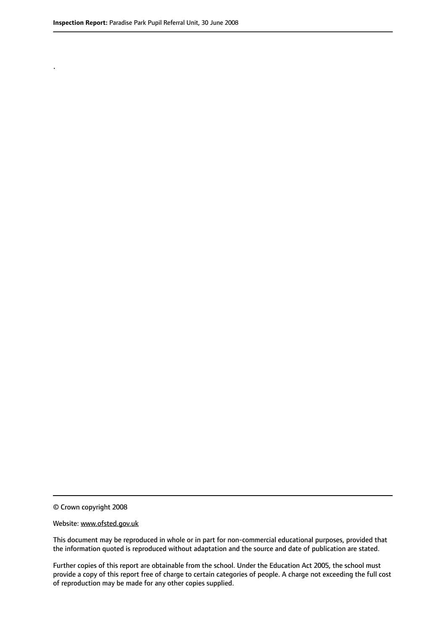.

© Crown copyright 2008

#### Website: www.ofsted.gov.uk

This document may be reproduced in whole or in part for non-commercial educational purposes, provided that the information quoted is reproduced without adaptation and the source and date of publication are stated.

Further copies of this report are obtainable from the school. Under the Education Act 2005, the school must provide a copy of this report free of charge to certain categories of people. A charge not exceeding the full cost of reproduction may be made for any other copies supplied.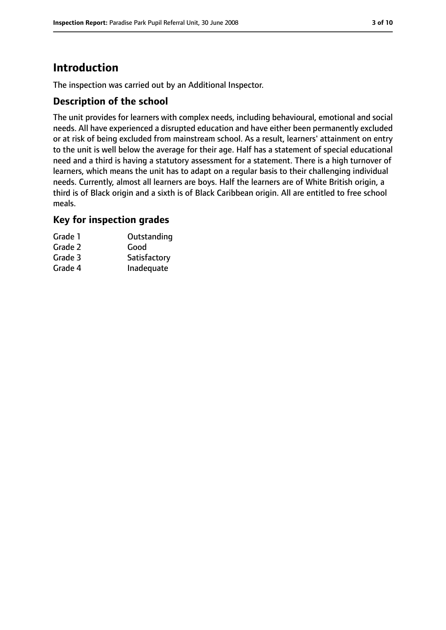# **Introduction**

The inspection was carried out by an Additional Inspector.

## **Description of the school**

The unit provides for learners with complex needs, including behavioural, emotional and social needs. All have experienced a disrupted education and have either been permanently excluded or at risk of being excluded from mainstream school. As a result, learners' attainment on entry to the unit is well below the average for their age. Half has a statement of special educational need and a third is having a statutory assessment for a statement. There is a high turnover of learners, which means the unit has to adapt on a regular basis to their challenging individual needs. Currently, almost all learners are boys. Half the learners are of White British origin, a third is of Black origin and a sixth is of Black Caribbean origin. All are entitled to free school meals.

#### **Key for inspection grades**

| Grade 1 | Outstanding  |
|---------|--------------|
| Grade 2 | Good         |
| Grade 3 | Satisfactory |
| Grade 4 | Inadequate   |
|         |              |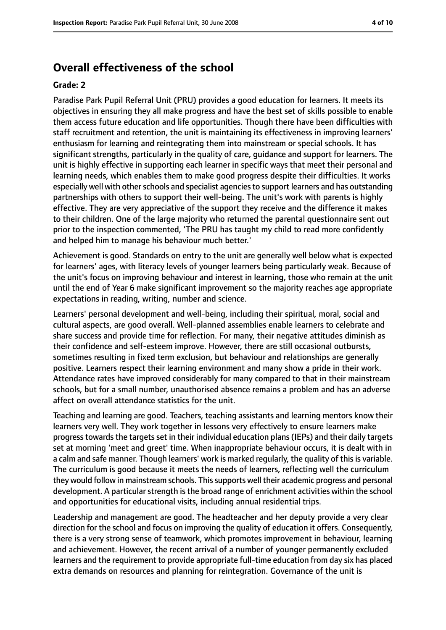## **Overall effectiveness of the school**

#### **Grade: 2**

Paradise Park Pupil Referral Unit (PRU) provides a good education for learners. It meets its objectives in ensuring they all make progress and have the best set of skills possible to enable them access future education and life opportunities. Though there have been difficulties with staff recruitment and retention, the unit is maintaining its effectiveness in improving learners' enthusiasm for learning and reintegrating them into mainstream or special schools. It has significant strengths, particularly in the quality of care, guidance and support for learners. The unit is highly effective in supporting each learner in specific ways that meet their personal and learning needs, which enables them to make good progress despite their difficulties. It works especially well with other schools and specialist agencies to support learners and has outstanding partnerships with others to support their well-being. The unit's work with parents is highly effective. They are very appreciative of the support they receive and the difference it makes to their children. One of the large majority who returned the parental questionnaire sent out prior to the inspection commented, 'The PRU has taught my child to read more confidently and helped him to manage his behaviour much better.'

Achievement is good. Standards on entry to the unit are generally well below what is expected for learners' ages, with literacy levels of younger learners being particularly weak. Because of the unit's focus on improving behaviour and interest in learning, those who remain at the unit until the end of Year 6 make significant improvement so the majority reaches age appropriate expectations in reading, writing, number and science.

Learners' personal development and well-being, including their spiritual, moral, social and cultural aspects, are good overall. Well-planned assemblies enable learners to celebrate and share success and provide time for reflection. For many, their negative attitudes diminish as their confidence and self-esteem improve. However, there are still occasional outbursts, sometimes resulting in fixed term exclusion, but behaviour and relationships are generally positive. Learners respect their learning environment and many show a pride in their work. Attendance rates have improved considerably for many compared to that in their mainstream schools, but for a small number, unauthorised absence remains a problem and has an adverse affect on overall attendance statistics for the unit.

Teaching and learning are good. Teachers, teaching assistants and learning mentors know their learners very well. They work together in lessons very effectively to ensure learners make progress towards the targets set in their individual education plans (IEPs) and their daily targets set at morning 'meet and greet' time. When inappropriate behaviour occurs, it is dealt with in a calm and safe manner. Though learners' work is marked regularly, the quality of this is variable. The curriculum is good because it meets the needs of learners, reflecting well the curriculum they would follow in mainstream schools. Thissupports well their academic progress and personal development. A particular strength is the broad range of enrichment activities within the school and opportunities for educational visits, including annual residential trips.

Leadership and management are good. The headteacher and her deputy provide a very clear direction for the school and focus on improving the quality of education it offers. Consequently, there is a very strong sense of teamwork, which promotes improvement in behaviour, learning and achievement. However, the recent arrival of a number of younger permanently excluded learners and the requirement to provide appropriate full-time education from day six has placed extra demands on resources and planning for reintegration. Governance of the unit is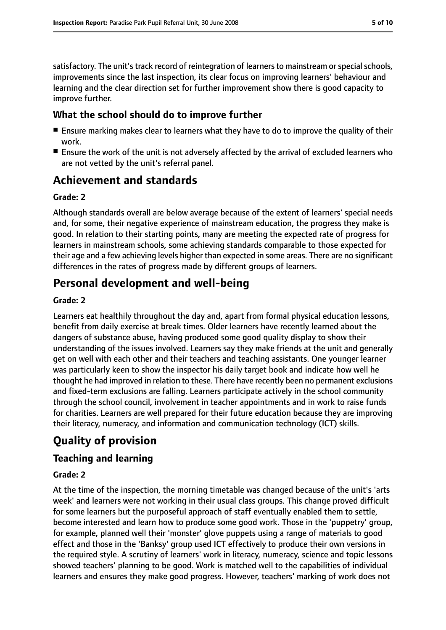satisfactory. The unit's track record of reintegration of learners to mainstream or special schools, improvements since the last inspection, its clear focus on improving learners' behaviour and learning and the clear direction set for further improvement show there is good capacity to improve further.

#### **What the school should do to improve further**

- Ensure marking makes clear to learners what they have to do to improve the quality of their work.
- Ensure the work of the unit is not adversely affected by the arrival of excluded learners who are not vetted by the unit's referral panel.

# **Achievement and standards**

#### **Grade: 2**

Although standards overall are below average because of the extent of learners' special needs and, for some, their negative experience of mainstream education, the progress they make is good. In relation to their starting points, many are meeting the expected rate of progress for learners in mainstream schools, some achieving standards comparable to those expected for their age and a few achieving levels higher than expected in some areas. There are no significant differences in the rates of progress made by different groups of learners.

## **Personal development and well-being**

#### **Grade: 2**

Learners eat healthily throughout the day and, apart from formal physical education lessons, benefit from daily exercise at break times. Older learners have recently learned about the dangers of substance abuse, having produced some good quality display to show their understanding of the issues involved. Learners say they make friends at the unit and generally get on well with each other and their teachers and teaching assistants. One younger learner was particularly keen to show the inspector his daily target book and indicate how well he thought he had improved in relation to these. There have recently been no permanent exclusions and fixed-term exclusions are falling. Learners participate actively in the school community through the school council, involvement in teacher appointments and in work to raise funds for charities. Learners are well prepared for their future education because they are improving their literacy, numeracy, and information and communication technology (ICT) skills.

# **Quality of provision**

## **Teaching and learning**

#### **Grade: 2**

At the time of the inspection, the morning timetable was changed because of the unit's 'arts week' and learners were not working in their usual class groups. This change proved difficult for some learners but the purposeful approach of staff eventually enabled them to settle, become interested and learn how to produce some good work. Those in the 'puppetry' group, for example, planned well their 'monster' glove puppets using a range of materials to good effect and those in the 'Banksy' group used ICT effectively to produce their own versions in the required style. A scrutiny of learners' work in literacy, numeracy, science and topic lessons showed teachers' planning to be good. Work is matched well to the capabilities of individual learners and ensures they make good progress. However, teachers' marking of work does not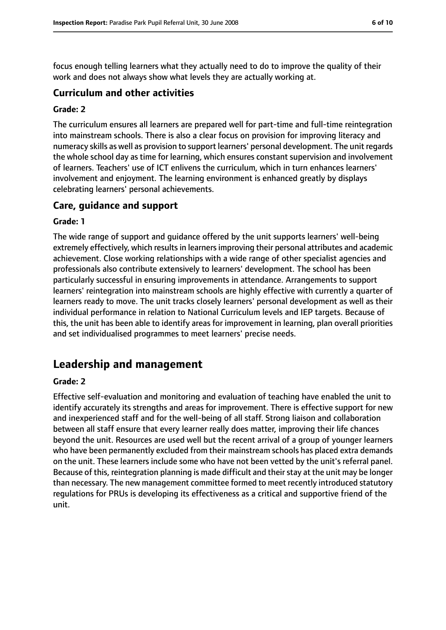focus enough telling learners what they actually need to do to improve the quality of their work and does not always show what levels they are actually working at.

#### **Curriculum and other activities**

#### **Grade: 2**

The curriculum ensures all learners are prepared well for part-time and full-time reintegration into mainstream schools. There is also a clear focus on provision for improving literacy and numeracy skills as well as provision to support learners' personal development. The unit regards the whole school day as time for learning, which ensures constant supervision and involvement of learners. Teachers' use of ICT enlivens the curriculum, which in turn enhances learners' involvement and enjoyment. The learning environment is enhanced greatly by displays celebrating learners' personal achievements.

#### **Care, guidance and support**

#### **Grade: 1**

The wide range of support and guidance offered by the unit supports learners' well-being extremely effectively, which results in learners improving their personal attributes and academic achievement. Close working relationships with a wide range of other specialist agencies and professionals also contribute extensively to learners' development. The school has been particularly successful in ensuring improvements in attendance. Arrangements to support learners' reintegration into mainstream schools are highly effective with currently a quarter of learners ready to move. The unit tracks closely learners' personal development as well as their individual performance in relation to National Curriculum levels and IEP targets. Because of this, the unit has been able to identify areas for improvement in learning, plan overall priorities and set individualised programmes to meet learners' precise needs.

## **Leadership and management**

#### **Grade: 2**

Effective self-evaluation and monitoring and evaluation of teaching have enabled the unit to identify accurately its strengths and areas for improvement. There is effective support for new and inexperienced staff and for the well-being of all staff. Strong liaison and collaboration between all staff ensure that every learner really does matter, improving their life chances beyond the unit. Resources are used well but the recent arrival of a group of younger learners who have been permanently excluded from their mainstream schools has placed extra demands on the unit. These learners include some who have not been vetted by the unit's referral panel. Because of this, reintegration planning is made difficult and their stay at the unit may be longer than necessary. The new management committee formed to meet recently introduced statutory regulations for PRUs is developing its effectiveness as a critical and supportive friend of the unit.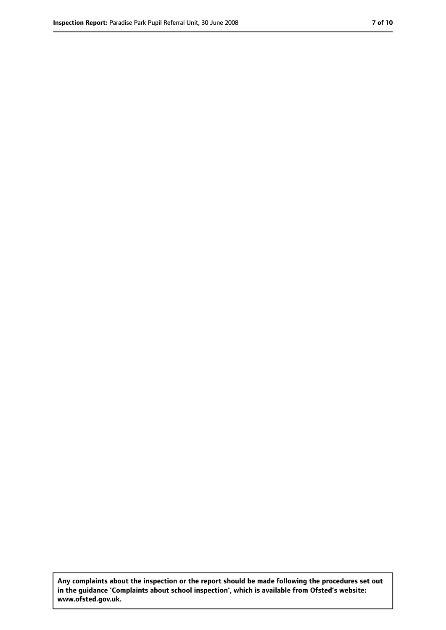**Any complaints about the inspection or the report should be made following the procedures set out in the guidance 'Complaints about school inspection', which is available from Ofsted's website: www.ofsted.gov.uk.**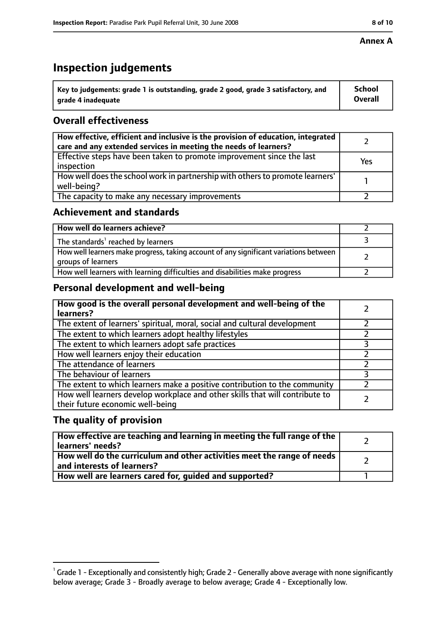#### **Annex A**

# **Inspection judgements**

| $^{\circ}$ Key to judgements: grade 1 is outstanding, grade 2 good, grade 3 satisfactory, and | <b>School</b>  |
|-----------------------------------------------------------------------------------------------|----------------|
| arade 4 inadequate                                                                            | <b>Overall</b> |

## **Overall effectiveness**

| How effective, efficient and inclusive is the provision of education, integrated<br>care and any extended services in meeting the needs of learners? |     |
|------------------------------------------------------------------------------------------------------------------------------------------------------|-----|
| Effective steps have been taken to promote improvement since the last<br>inspection                                                                  | Yes |
| How well does the school work in partnership with others to promote learners'<br>well-being?                                                         |     |
| The capacity to make any necessary improvements                                                                                                      |     |

## **Achievement and standards**

| How well do learners achieve?                                                                               |  |
|-------------------------------------------------------------------------------------------------------------|--|
| The standards <sup>1</sup> reached by learners                                                              |  |
| How well learners make progress, taking account of any significant variations between<br>groups of learners |  |
| How well learners with learning difficulties and disabilities make progress                                 |  |

## **Personal development and well-being**

| How good is the overall personal development and well-being of the<br>learners?                                  |  |
|------------------------------------------------------------------------------------------------------------------|--|
| The extent of learners' spiritual, moral, social and cultural development                                        |  |
| The extent to which learners adopt healthy lifestyles                                                            |  |
| The extent to which learners adopt safe practices                                                                |  |
| How well learners enjoy their education                                                                          |  |
| The attendance of learners                                                                                       |  |
| The behaviour of learners                                                                                        |  |
| The extent to which learners make a positive contribution to the community                                       |  |
| How well learners develop workplace and other skills that will contribute to<br>their future economic well-being |  |

## **The quality of provision**

| $\mid$ How effective are teaching and learning in meeting the full range of the $\mid$<br>learners' needs? |  |
|------------------------------------------------------------------------------------------------------------|--|
| How well do the curriculum and other activities meet the range of needs  <br>and interests of learners?    |  |
| How well are learners cared for, guided and supported?                                                     |  |

 $^1$  Grade 1 - Exceptionally and consistently high; Grade 2 - Generally above average with none significantly below average; Grade 3 - Broadly average to below average; Grade 4 - Exceptionally low.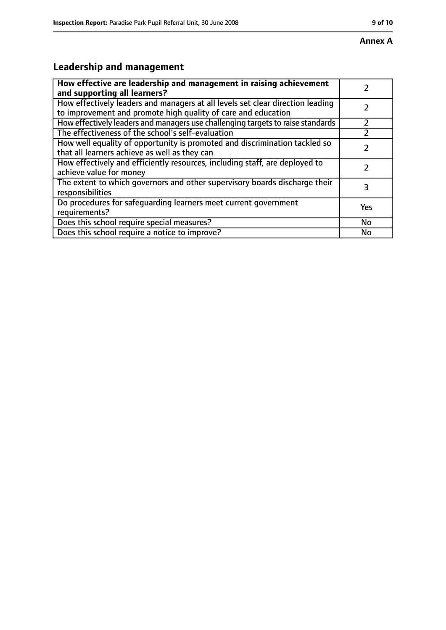# **Leadership and management**

| How effective are leadership and management in raising achievement<br>and supporting all learners?                                              |     |
|-------------------------------------------------------------------------------------------------------------------------------------------------|-----|
| How effectively leaders and managers at all levels set clear direction leading<br>to improvement and promote high quality of care and education |     |
| How effectively leaders and managers use challenging targets to raise standards                                                                 |     |
| The effectiveness of the school's self-evaluation                                                                                               |     |
| How well equality of opportunity is promoted and discrimination tackled so<br>that all learners achieve as well as they can                     |     |
| How effectively and efficiently resources, including staff, are deployed to<br>achieve value for money                                          |     |
| The extent to which governors and other supervisory boards discharge their<br>responsibilities                                                  | 3   |
| Do procedures for safequarding learners meet current government<br>requirements?                                                                | Yes |
| Does this school require special measures?                                                                                                      | No  |
| Does this school require a notice to improve?                                                                                                   | No  |